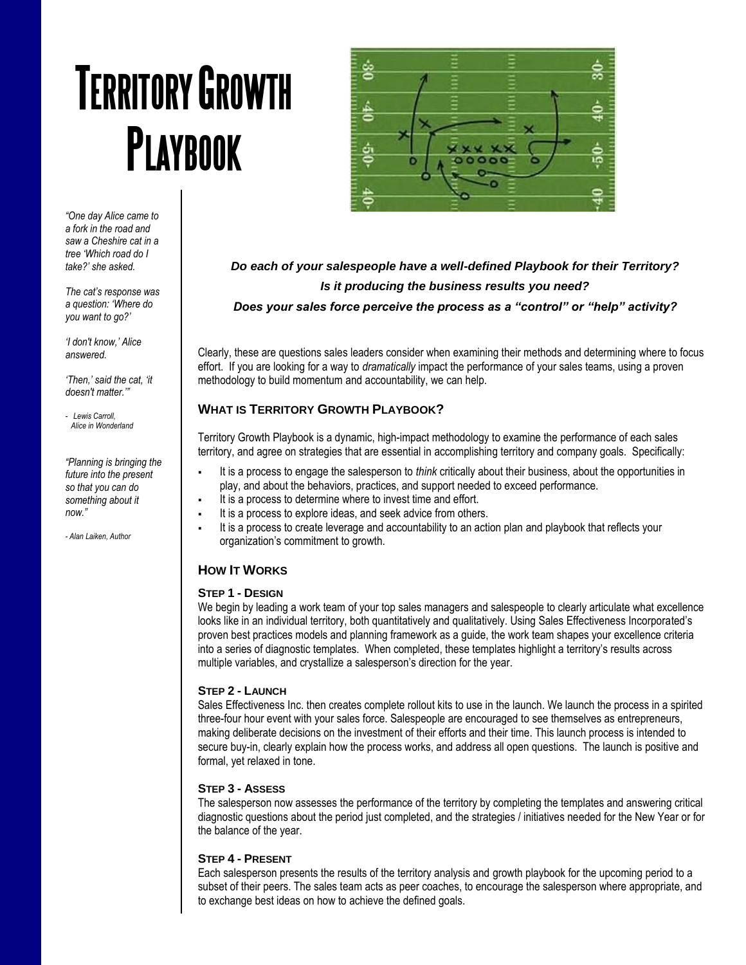# **TERRITORY GROWTH PLAYBOOK**



*"One day Alice came to a fork in the road and saw a Cheshire cat in a tree 'Which road do I take?' she asked.*

*The cat's response was a question: 'Where do you want to go?'*

*'I don't know,' Alice answered.* 

*'Then,' said the cat, 'it doesn't matter.'"*

*- Lewis Carroll, Alice in Wonderland*

*"Planning is bringing the future into the present so that you can do something about it now."*

*- Alan Laiken, Author*

*Do each of your salespeople have a well-defined Playbook for their Territory? Is it producing the business results you need? Does your sales force perceive the process as a "control" or "help" activity?*

Clearly, these are questions sales leaders consider when examining their methods and determining where to focus effort. If you are looking for a way to *dramatically* impact the performance of your sales teams, using a proven methodology to build momentum and accountability, we can help.

# **WHAT IS TERRITORY GROWTH PLAYBOOK?**

Territory Growth Playbook is a dynamic, high-impact methodology to examine the performance of each sales territory, and agree on strategies that are essential in accomplishing territory and company goals. Specifically:

- It is a process to engage the salesperson to *think* critically about their business, about the opportunities in play, and about the behaviors, practices, and support needed to exceed performance.
- It is a process to determine where to invest time and effort.
- It is a process to explore ideas, and seek advice from others.
- It is a process to create leverage and accountability to an action plan and playbook that reflects your organization's commitment to growth.

# **HOW IT WORKS**

#### **STEP 1 - DESIGN**

We begin by leading a work team of your top sales managers and salespeople to clearly articulate what excellence looks like in an individual territory, both quantitatively and qualitatively. Using Sales Effectiveness Incorporated's proven best practices models and planning framework as a guide, the work team shapes your excellence criteria into a series of diagnostic templates. When completed, these templates highlight a territory's results across multiple variables, and crystallize a salesperson's direction for the year.

#### **STEP 2 - LAUNCH**

Sales Effectiveness Inc. then creates complete rollout kits to use in the launch. We launch the process in a spirited three-four hour event with your sales force. Salespeople are encouraged to see themselves as entrepreneurs, making deliberate decisions on the investment of their efforts and their time. This launch process is intended to secure buy-in, clearly explain how the process works, and address all open questions. The launch is positive and formal, yet relaxed in tone.

#### **STEP 3 - ASSESS**

The salesperson now assesses the performance of the territory by completing the templates and answering critical diagnostic questions about the period just completed, and the strategies / initiatives needed for the New Year or for the balance of the year.

# **STEP 4 - PRESENT**

Each salesperson presents the results of the territory analysis and growth playbook for the upcoming period to a subset of their peers. The sales team acts as peer coaches, to encourage the salesperson where appropriate, and to exchange best ideas on how to achieve the defined goals.